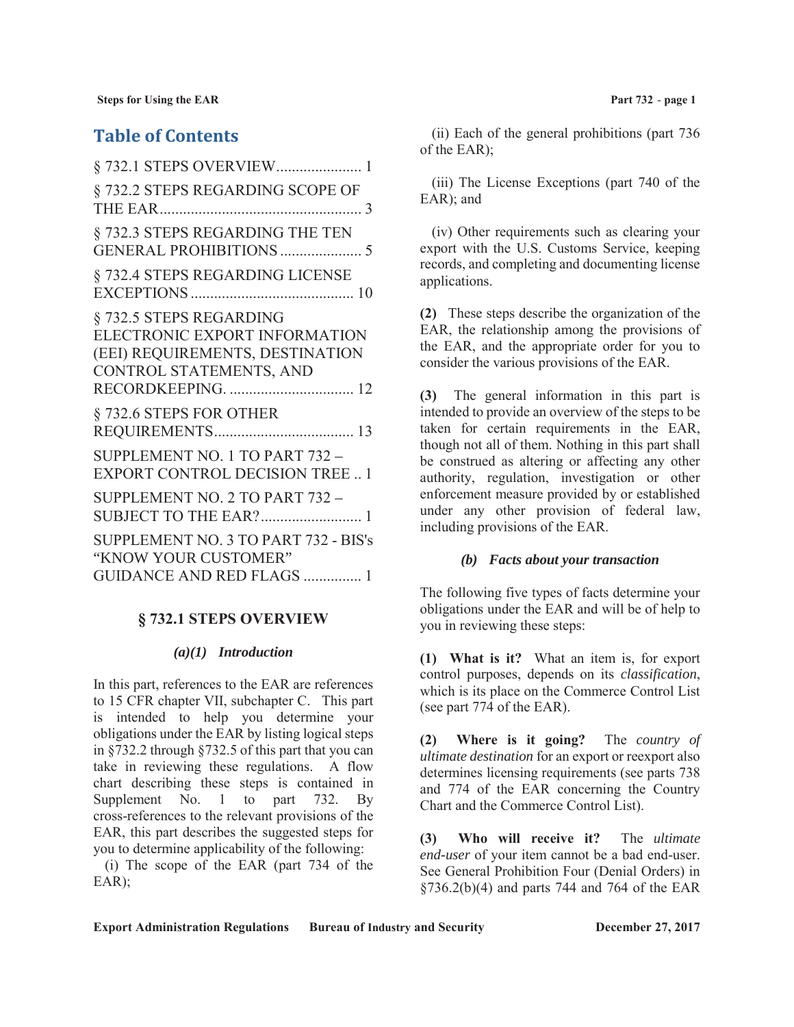# **Table of Contents**

| § 732.1 STEPS OVERVIEW 1                                                                                               |
|------------------------------------------------------------------------------------------------------------------------|
| §732.2 STEPS REGARDING SCOPE OF                                                                                        |
| § 732.3 STEPS REGARDING THE TEN                                                                                        |
| § 732.4 STEPS REGARDING LICENSE                                                                                        |
| § 732.5 STEPS REGARDING<br>ELECTRONIC EXPORT INFORMATION<br>(EEI) REQUIREMENTS, DESTINATION<br>CONTROL STATEMENTS, AND |
|                                                                                                                        |
| §732.6 STEPS FOR OTHER                                                                                                 |
| SUPPLEMENT NO. 1 TO PART 732 -<br><b>EXPORT CONTROL DECISION TREE  1</b>                                               |
| SUPPLEMENT NO. 2 TO PART 732 -<br>SUBJECT TO THE EAR? 1                                                                |
|                                                                                                                        |
| SUPPLEMENT NO. 3 TO PART 732 - BIS's<br>"KNOW YOUR CUSTOMER"<br><b>GUIDANCE AND RED FLAGS  1</b>                       |

## **§ 732.1 STEPS OVERVIEW**

#### *(a)(1) Introduction*

In this part, references to the EAR are references to 15 CFR chapter VII, subchapter C. This part is intended to help you determine your obligations under the EAR by listing logical steps in §732.2 through §732.5 of this part that you can take in reviewing these regulations. A flow chart describing these steps is contained in Supplement No. 1 to part 732. By cross-references to the relevant provisions of the EAR, this part describes the suggested steps for you to determine applicability of the following:

(i) The scope of the EAR (part 734 of the EAR);

(ii) Each of the general prohibitions (part 736 of the EAR);

(iii) The License Exceptions (part 740 of the EAR); and

(iv) Other requirements such as clearing your export with the U.S. Customs Service, keeping records, and completing and documenting license applications.

**(2)** These steps describe the organization of the EAR, the relationship among the provisions of the EAR, and the appropriate order for you to consider the various provisions of the EAR.

**(3)** The general information in this part is intended to provide an overview of the steps to be taken for certain requirements in the EAR, though not all of them. Nothing in this part shall be construed as altering or affecting any other authority, regulation, investigation or other enforcement measure provided by or established under any other provision of federal law, including provisions of the EAR.

#### *(b) Facts about your transaction*

The following five types of facts determine your obligations under the EAR and will be of help to you in reviewing these steps:

**(1) What is it?** What an item is, for export control purposes, depends on its *classification*, which is its place on the Commerce Control List (see part 774 of the EAR).

**(2) Where is it going?** The *country of ultimate destination* for an export or reexport also determines licensing requirements (see parts 738 and 774 of the EAR concerning the Country Chart and the Commerce Control List).

**(3) Who will receive it?** The *ultimate end-user* of your item cannot be a bad end-user. See General Prohibition Four (Denial Orders) in §736.2(b)(4) and parts 744 and 764 of the EAR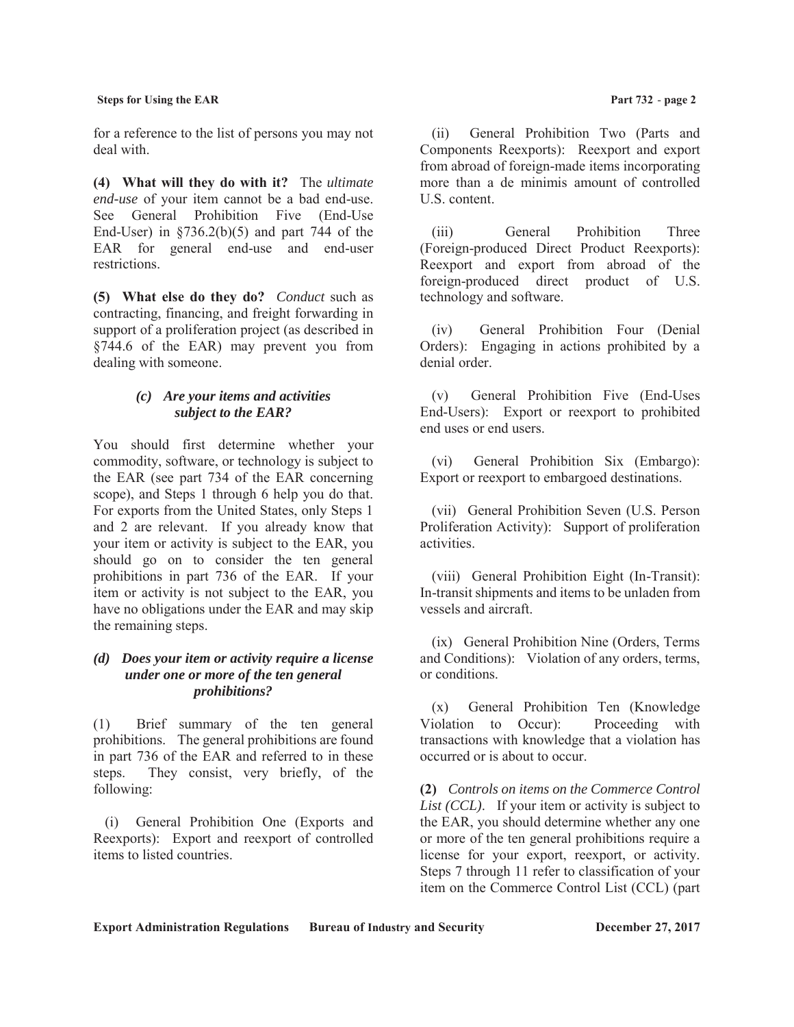for a reference to the list of persons you may not deal with.

**(4) What will they do with it?** The *ultimate end-use* of your item cannot be a bad end-use. See General Prohibition Five (End-Use End-User) in  $\S 736.2(b)(5)$  and part 744 of the EAR for general end-use and end-user restrictions.

**(5) What else do they do?** *Conduct* such as contracting, financing, and freight forwarding in support of a proliferation project (as described in §744.6 of the EAR) may prevent you from dealing with someone.

## *(c) Are your items and activities subject to the EAR?*

You should first determine whether your commodity, software, or technology is subject to the EAR (see part 734 of the EAR concerning scope), and Steps 1 through 6 help you do that. For exports from the United States, only Steps 1 and 2 are relevant. If you already know that your item or activity is subject to the EAR, you should go on to consider the ten general prohibitions in part 736 of the EAR. If your item or activity is not subject to the EAR, you have no obligations under the EAR and may skip the remaining steps.

#### *(d) Does your item or activity require a license under one or more of the ten general prohibitions?*

(1) Brief summary of the ten general prohibitions. The general prohibitions are found in part 736 of the EAR and referred to in these steps. They consist, very briefly, of the following:

(i) General Prohibition One (Exports and Reexports): Export and reexport of controlled items to listed countries.

(ii) General Prohibition Two (Parts and Components Reexports): Reexport and export from abroad of foreign-made items incorporating more than a de minimis amount of controlled U.S. content.

(iii) General Prohibition Three (Foreign-produced Direct Product Reexports): Reexport and export from abroad of the foreign-produced direct product of U.S. technology and software.

(iv) General Prohibition Four (Denial Orders): Engaging in actions prohibited by a denial order.

(v) General Prohibition Five (End-Uses End-Users): Export or reexport to prohibited end uses or end users.

(vi) General Prohibition Six (Embargo): Export or reexport to embargoed destinations.

(vii) General Prohibition Seven (U.S. Person Proliferation Activity): Support of proliferation activities.

(viii) General Prohibition Eight (In-Transit): In-transit shipments and items to be unladen from vessels and aircraft.

(ix) General Prohibition Nine (Orders, Terms and Conditions): Violation of any orders, terms, or conditions.

(x) General Prohibition Ten (Knowledge Violation to Occur): Proceeding with transactions with knowledge that a violation has occurred or is about to occur.

**(2)** *Controls on items on the Commerce Control List (CCL)*. If your item or activity is subject to the EAR, you should determine whether any one or more of the ten general prohibitions require a license for your export, reexport, or activity. Steps 7 through 11 refer to classification of your item on the Commerce Control List (CCL) (part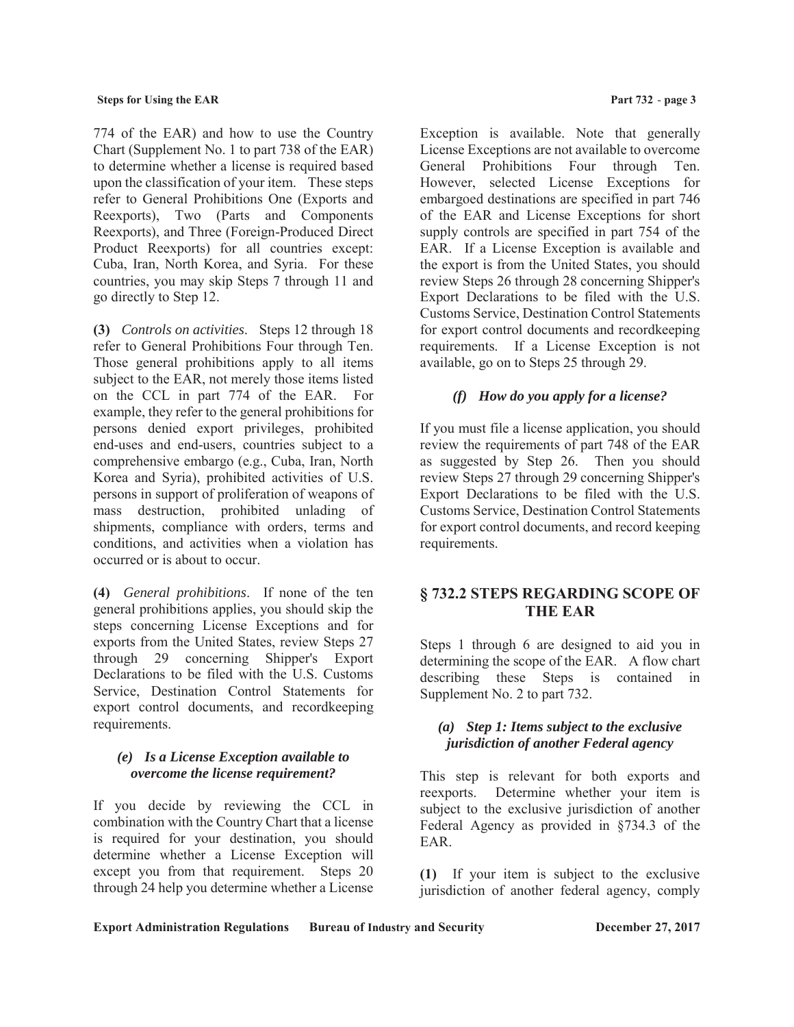774 of the EAR) and how to use the Country Chart (Supplement No. 1 to part 738 of the EAR) to determine whether a license is required based upon the classification of your item. These steps refer to General Prohibitions One (Exports and Reexports), Two (Parts and Components Reexports), and Three (Foreign-Produced Direct Product Reexports) for all countries except: Cuba, Iran, North Korea, and Syria. For these countries, you may skip Steps 7 through 11 and go directly to Step 12.

**(3)** *Controls on activities*. Steps 12 through 18 refer to General Prohibitions Four through Ten. Those general prohibitions apply to all items subject to the EAR, not merely those items listed on the CCL in part 774 of the EAR. For example, they refer to the general prohibitions for persons denied export privileges, prohibited end-uses and end-users, countries subject to a comprehensive embargo (e.g., Cuba, Iran, North Korea and Syria), prohibited activities of U.S. persons in support of proliferation of weapons of mass destruction, prohibited unlading of shipments, compliance with orders, terms and conditions, and activities when a violation has occurred or is about to occur.

**(4)** *General prohibitions*. If none of the ten general prohibitions applies, you should skip the steps concerning License Exceptions and for exports from the United States, review Steps 27 through 29 concerning Shipper's Export Declarations to be filed with the U.S. Customs Service, Destination Control Statements for export control documents, and recordkeeping requirements.

## *(e) Is a License Exception available to overcome the license requirement?*

If you decide by reviewing the CCL in combination with the Country Chart that a license is required for your destination, you should determine whether a License Exception will except you from that requirement. Steps 20 through 24 help you determine whether a License Exception is available. Note that generally License Exceptions are not available to overcome General Prohibitions Four through Ten. However, selected License Exceptions for embargoed destinations are specified in part 746 of the EAR and License Exceptions for short supply controls are specified in part 754 of the EAR. If a License Exception is available and the export is from the United States, you should review Steps 26 through 28 concerning Shipper's Export Declarations to be filed with the U.S. Customs Service, Destination Control Statements for export control documents and recordkeeping requirements. If a License Exception is not available, go on to Steps 25 through 29.

# *(f) How do you apply for a license?*

If you must file a license application, you should review the requirements of part 748 of the EAR as suggested by Step 26. Then you should review Steps 27 through 29 concerning Shipper's Export Declarations to be filed with the U.S. Customs Service, Destination Control Statements for export control documents, and record keeping requirements.

# **§ 732.2 STEPS REGARDING SCOPE OF THE EAR**

Steps 1 through 6 are designed to aid you in determining the scope of the EAR. A flow chart describing these Steps is contained in Supplement No. 2 to part 732.

## *(a) Step 1: Items subject to the exclusive jurisdiction of another Federal agency*

This step is relevant for both exports and reexports. Determine whether your item is subject to the exclusive jurisdiction of another Federal Agency as provided in §734.3 of the EAR.

**(1)** If your item is subject to the exclusive jurisdiction of another federal agency, comply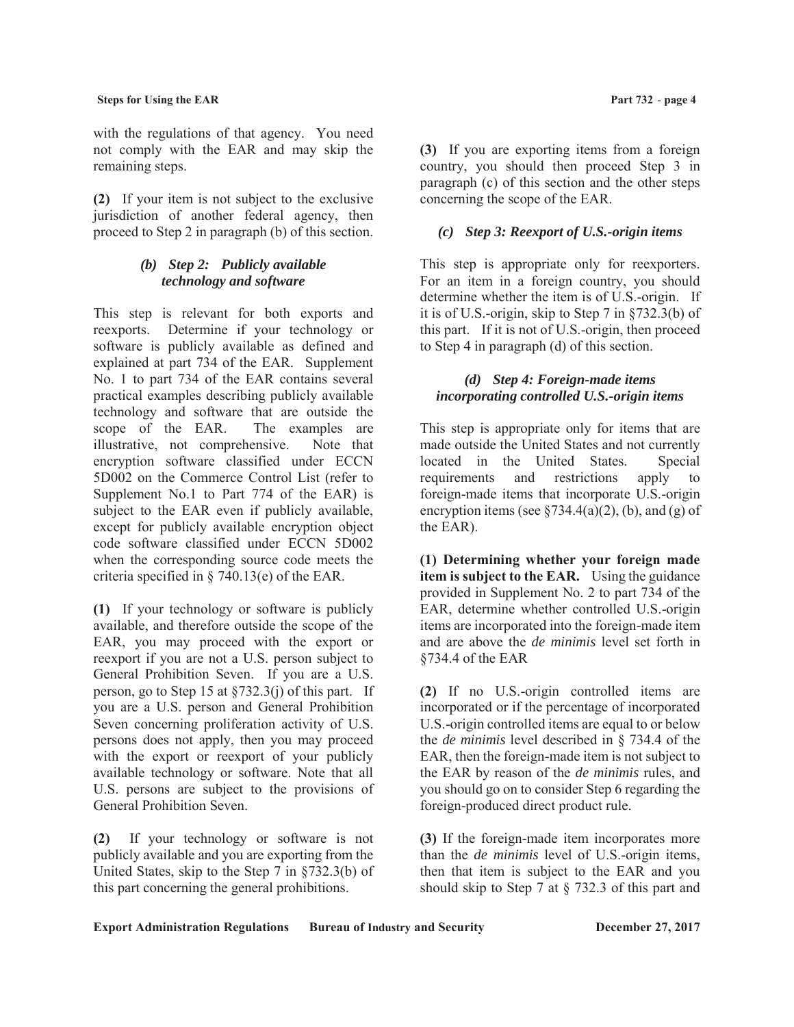with the regulations of that agency. You need not comply with the EAR and may skip the remaining steps.

**(2)** If your item is not subject to the exclusive jurisdiction of another federal agency, then proceed to Step 2 in paragraph (b) of this section.

# *(b) Step 2: Publicly available technology and software*

This step is relevant for both exports and reexports. Determine if your technology or software is publicly available as defined and explained at part 734 of the EAR. Supplement No. 1 to part 734 of the EAR contains several practical examples describing publicly available technology and software that are outside the scope of the EAR. The examples are illustrative, not comprehensive. Note that encryption software classified under ECCN 5D002 on the Commerce Control List (refer to Supplement No.1 to Part 774 of the EAR) is subject to the EAR even if publicly available, except for publicly available encryption object code software classified under ECCN 5D002 when the corresponding source code meets the criteria specified in § 740.13(e) of the EAR.

**(1)** If your technology or software is publicly available, and therefore outside the scope of the EAR, you may proceed with the export or reexport if you are not a U.S. person subject to General Prohibition Seven. If you are a U.S. person, go to Step 15 at §732.3(j) of this part. If you are a U.S. person and General Prohibition Seven concerning proliferation activity of U.S. persons does not apply, then you may proceed with the export or reexport of your publicly available technology or software. Note that all U.S. persons are subject to the provisions of General Prohibition Seven.

**(2)** If your technology or software is not publicly available and you are exporting from the United States, skip to the Step 7 in §732.3(b) of this part concerning the general prohibitions.

**(3)** If you are exporting items from a foreign country, you should then proceed Step 3 in paragraph (c) of this section and the other steps concerning the scope of the EAR.

# *(c) Step 3: Reexport of U.S.-origin items*

This step is appropriate only for reexporters. For an item in a foreign country, you should determine whether the item is of U.S.-origin. If it is of U.S.-origin, skip to Step 7 in §732.3(b) of this part. If it is not of U.S.-origin, then proceed to Step 4 in paragraph (d) of this section.

# *(d) Step 4: Foreign-made items incorporating controlled U.S.-origin items*

This step is appropriate only for items that are made outside the United States and not currently located in the United States. Special requirements and restrictions apply to foreign-made items that incorporate U.S.-origin encryption items (see  $\S 734.4(a)(2)$ , (b), and (g) of the EAR).

**(1) Determining whether your foreign made item is subject to the EAR.** Using the guidance provided in Supplement No. 2 to part 734 of the EAR, determine whether controlled U.S.-origin items are incorporated into the foreign-made item and are above the *de minimis* level set forth in §734.4 of the EAR

**(2)** If no U.S.-origin controlled items are incorporated or if the percentage of incorporated U.S.-origin controlled items are equal to or below the *de minimis* level described in § 734.4 of the EAR, then the foreign-made item is not subject to the EAR by reason of the *de minimis* rules, and you should go on to consider Step 6 regarding the foreign-produced direct product rule.

**(3)** If the foreign-made item incorporates more than the *de minimis* level of U.S.-origin items, then that item is subject to the EAR and you should skip to Step 7 at § 732.3 of this part and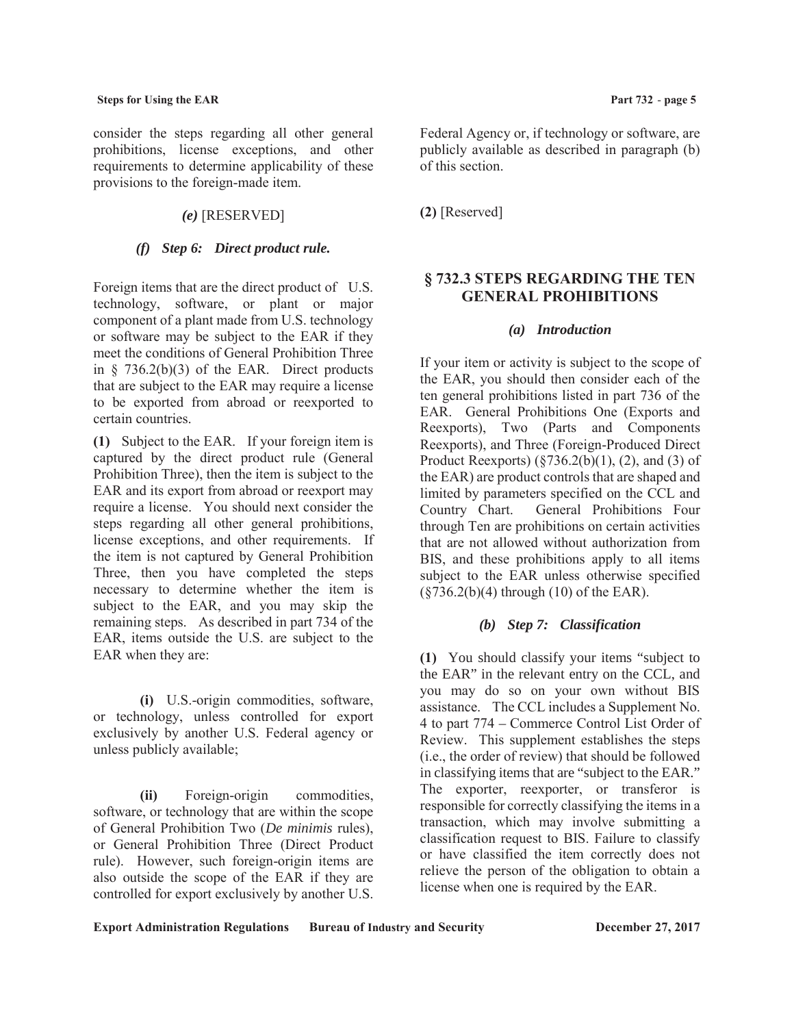consider the steps regarding all other general prohibitions, license exceptions, and other requirements to determine applicability of these provisions to the foreign-made item.

# *(e)* [RESERVED]

# *(f) Step 6: Direct product rule.*

Foreign items that are the direct product of U.S. technology, software, or plant or major component of a plant made from U.S. technology or software may be subject to the EAR if they meet the conditions of General Prohibition Three in  $\S$  736.2(b)(3) of the EAR. Direct products that are subject to the EAR may require a license to be exported from abroad or reexported to certain countries.

**(1)** Subject to the EAR. If your foreign item is captured by the direct product rule (General Prohibition Three), then the item is subject to the EAR and its export from abroad or reexport may require a license. You should next consider the steps regarding all other general prohibitions, license exceptions, and other requirements. If the item is not captured by General Prohibition Three, then you have completed the steps necessary to determine whether the item is subject to the EAR, and you may skip the remaining steps. As described in part 734 of the EAR, items outside the U.S. are subject to the EAR when they are:

**(i)** U.S.-origin commodities, software, or technology, unless controlled for export exclusively by another U.S. Federal agency or unless publicly available;

**(ii)** Foreign-origin commodities, software, or technology that are within the scope of General Prohibition Two (*De minimis* rules), or General Prohibition Three (Direct Product rule). However, such foreign-origin items are also outside the scope of the EAR if they are controlled for export exclusively by another U.S. Federal Agency or, if technology or software, are publicly available as described in paragraph (b) of this section.

**(2)** [Reserved]

# **§ 732.3 STEPS REGARDING THE TEN GENERAL PROHIBITIONS**

## *(a) Introduction*

If your item or activity is subject to the scope of the EAR, you should then consider each of the ten general prohibitions listed in part 736 of the EAR. General Prohibitions One (Exports and Reexports), Two (Parts and Components Reexports), and Three (Foreign-Produced Direct Product Reexports)  $(\frac{6}{3736.2(b)(1)}, (2),$  and (3) of the EAR) are product controls that are shaped and limited by parameters specified on the CCL and Country Chart. General Prohibitions Four through Ten are prohibitions on certain activities that are not allowed without authorization from BIS, and these prohibitions apply to all items subject to the EAR unless otherwise specified (§736.2(b)(4) through (10) of the EAR).

## *(b) Step 7: Classification*

**(1)** You should classify your items "subject to the EAR" in the relevant entry on the CCL, and you may do so on your own without BIS assistance. The CCL includes a Supplement No. 4 to part 774 – Commerce Control List Order of Review. This supplement establishes the steps (i.e., the order of review) that should be followed in classifying items that are "subject to the EAR." The exporter, reexporter, or transferor is responsible for correctly classifying the items in a transaction, which may involve submitting a classification request to BIS. Failure to classify or have classified the item correctly does not relieve the person of the obligation to obtain a license when one is required by the EAR.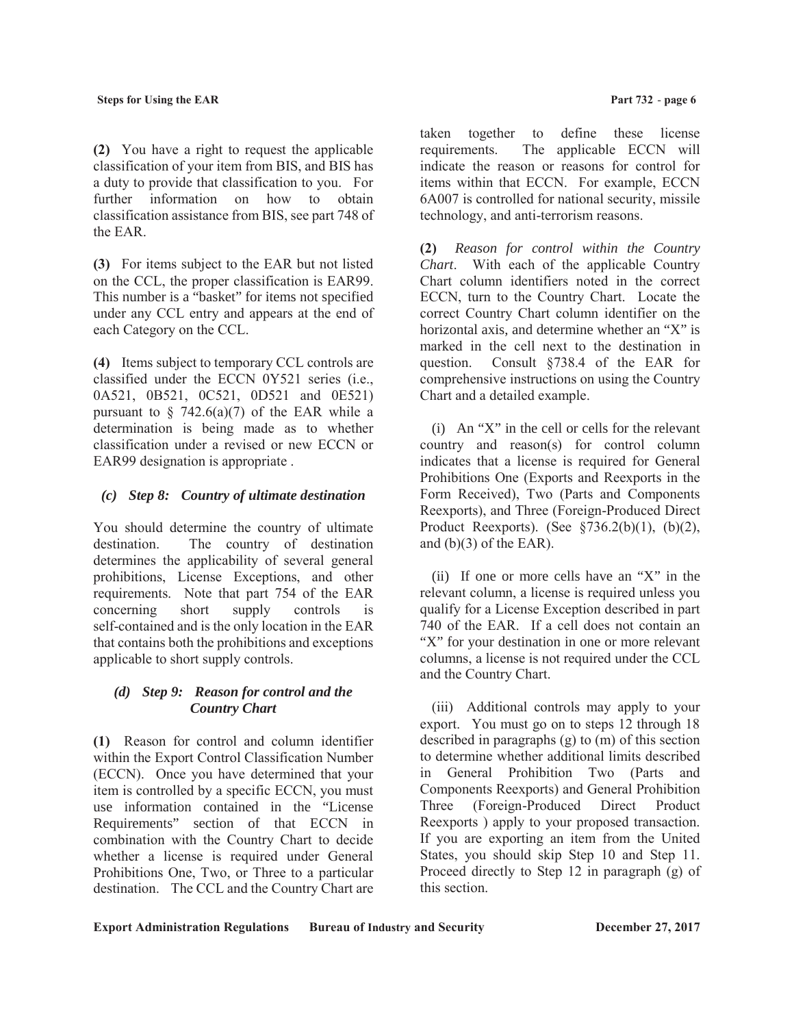**(2)** You have a right to request the applicable classification of your item from BIS, and BIS has a duty to provide that classification to you. For further information on how to obtain classification assistance from BIS, see part 748 of the EAR.

**(3)** For items subject to the EAR but not listed on the CCL, the proper classification is EAR99. This number is a "basket" for items not specified under any CCL entry and appears at the end of each Category on the CCL.

**(4)** Items subject to temporary CCL controls are classified under the ECCN 0Y521 series (i.e., 0A521, 0B521, 0C521, 0D521 and 0E521) pursuant to  $\S$  742.6(a)(7) of the EAR while a determination is being made as to whether classification under a revised or new ECCN or EAR99 designation is appropriate .

# *(c) Step 8: Country of ultimate destination*

You should determine the country of ultimate destination. The country of destination determines the applicability of several general prohibitions, License Exceptions, and other requirements. Note that part 754 of the EAR concerning short supply controls is self-contained and is the only location in the EAR that contains both the prohibitions and exceptions applicable to short supply controls.

## *(d) Step 9: Reason for control and the Country Chart*

**(1)** Reason for control and column identifier within the Export Control Classification Number (ECCN). Once you have determined that your item is controlled by a specific ECCN, you must use information contained in the "License Requirements" section of that ECCN in combination with the Country Chart to decide whether a license is required under General Prohibitions One, Two, or Three to a particular destination. The CCL and the Country Chart are

taken together to define these license requirements. The applicable ECCN will indicate the reason or reasons for control for items within that ECCN. For example, ECCN 6A007 is controlled for national security, missile technology, and anti-terrorism reasons.

**(2)** *Reason for control within the Country Chart*. With each of the applicable Country Chart column identifiers noted in the correct ECCN, turn to the Country Chart. Locate the correct Country Chart column identifier on the horizontal axis, and determine whether an "X" is marked in the cell next to the destination in question. Consult §738.4 of the EAR for comprehensive instructions on using the Country Chart and a detailed example.

(i) An "X" in the cell or cells for the relevant country and reason(s) for control column indicates that a license is required for General Prohibitions One (Exports and Reexports in the Form Received), Two (Parts and Components Reexports), and Three (Foreign-Produced Direct Product Reexports). (See §736.2(b)(1), (b)(2), and  $(b)(3)$  of the EAR).

(ii) If one or more cells have an "X" in the relevant column, a license is required unless you qualify for a License Exception described in part 740 of the EAR. If a cell does not contain an "X" for your destination in one or more relevant columns, a license is not required under the CCL and the Country Chart.

(iii) Additional controls may apply to your export. You must go on to steps 12 through 18 described in paragraphs (g) to (m) of this section to determine whether additional limits described in General Prohibition Two (Parts and Components Reexports) and General Prohibition Three (Foreign-Produced Direct Product Reexports ) apply to your proposed transaction. If you are exporting an item from the United States, you should skip Step 10 and Step 11. Proceed directly to Step 12 in paragraph (g) of this section.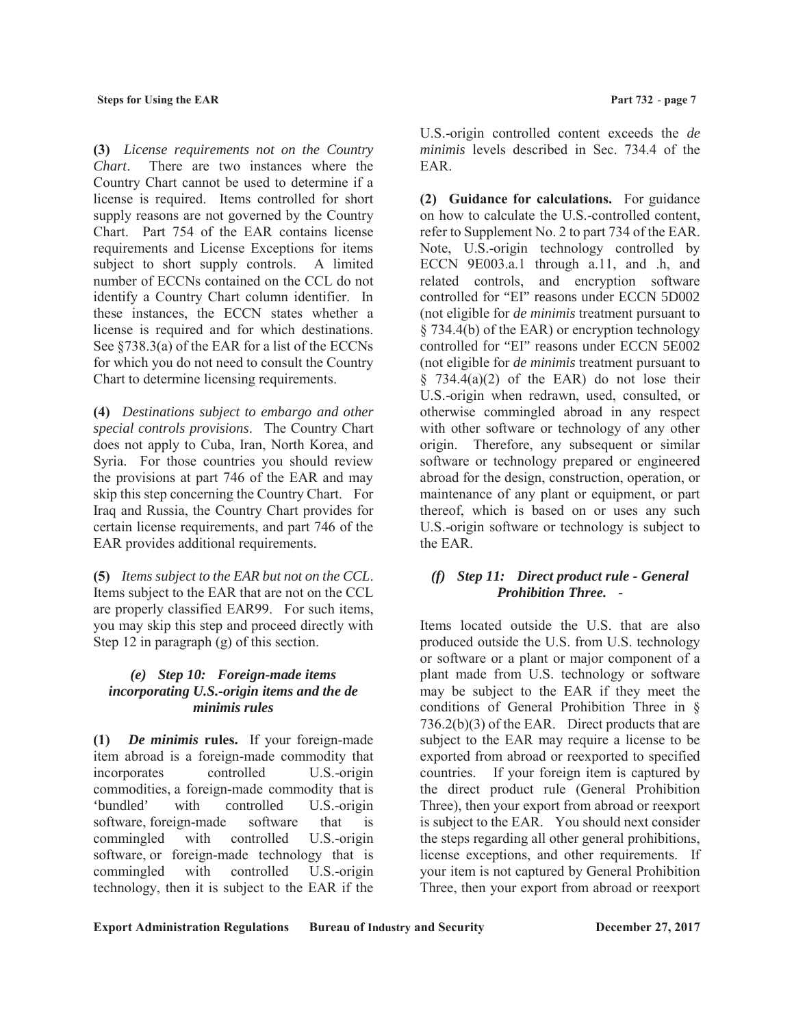**(3)** *License requirements not on the Country Chart*. There are two instances where the Country Chart cannot be used to determine if a license is required. Items controlled for short supply reasons are not governed by the Country Chart. Part 754 of the EAR contains license requirements and License Exceptions for items subject to short supply controls. A limited number of ECCNs contained on the CCL do not identify a Country Chart column identifier. In these instances, the ECCN states whether a license is required and for which destinations. See §738.3(a) of the EAR for a list of the ECCNs for which you do not need to consult the Country Chart to determine licensing requirements.

**(4)** *Destinations subject to embargo and other special controls provisions*. The Country Chart does not apply to Cuba, Iran, North Korea, and Syria. For those countries you should review the provisions at part 746 of the EAR and may skip this step concerning the Country Chart. For Iraq and Russia, the Country Chart provides for certain license requirements, and part 746 of the EAR provides additional requirements.

**(5)** *Items subject to the EAR but not on the CCL*. Items subject to the EAR that are not on the CCL are properly classified EAR99. For such items, you may skip this step and proceed directly with Step 12 in paragraph (g) of this section.

## *(e) Step 10: Foreign-made items incorporating U.S.-origin items and the de minimis rules*

**(1)** *De minimis* **rules.** If your foreign-made item abroad is a foreign-made commodity that incorporates controlled U.S.-origin commodities, a foreign-made commodity that is 'bundled' with controlled U.S.-origin software, foreign-made software that is commingled with controlled U.S.-origin software, or foreign-made technology that is commingled with controlled U.S.-origin technology, then it is subject to the EAR if the

U.S.-origin controlled content exceeds the *de minimis* levels described in Sec. 734.4 of the EAR.

**(2) Guidance for calculations.** For guidance on how to calculate the U.S.-controlled content, refer to Supplement No. 2 to part 734 of the EAR. Note, U.S.-origin technology controlled by ECCN 9E003.a.1 through a.11, and .h, and related controls, and encryption software controlled for "EI" reasons under ECCN 5D002 (not eligible for *de minimis* treatment pursuant to § 734.4(b) of the EAR) or encryption technology controlled for "EI" reasons under ECCN 5E002 (not eligible for *de minimis* treatment pursuant to  $§$  734.4(a)(2) of the EAR) do not lose their U.S.-origin when redrawn, used, consulted, or otherwise commingled abroad in any respect with other software or technology of any other origin. Therefore, any subsequent or similar software or technology prepared or engineered abroad for the design, construction, operation, or maintenance of any plant or equipment, or part thereof, which is based on or uses any such U.S.-origin software or technology is subject to the EAR.

## *(f) Step 11: Direct product rule - General Prohibition Three. -*

Items located outside the U.S. that are also produced outside the U.S. from U.S. technology or software or a plant or major component of a plant made from U.S. technology or software may be subject to the EAR if they meet the conditions of General Prohibition Three in § 736.2(b)(3) of the EAR. Direct products that are subject to the EAR may require a license to be exported from abroad or reexported to specified countries. If your foreign item is captured by the direct product rule (General Prohibition Three), then your export from abroad or reexport is subject to the EAR. You should next consider the steps regarding all other general prohibitions, license exceptions, and other requirements. If your item is not captured by General Prohibition Three, then your export from abroad or reexport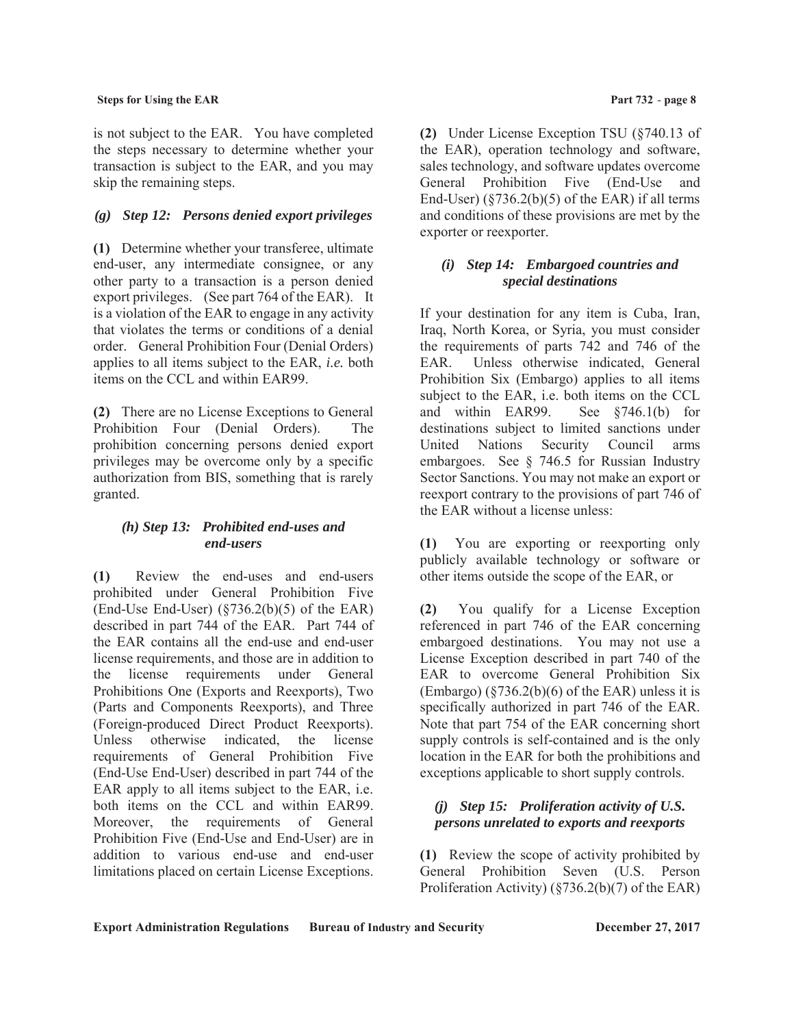is not subject to the EAR. You have completed the steps necessary to determine whether your transaction is subject to the EAR, and you may skip the remaining steps.

# *(g) Step 12: Persons denied export privileges*

**(1)** Determine whether your transferee, ultimate end-user, any intermediate consignee, or any other party to a transaction is a person denied export privileges. (See part 764 of the EAR). It is a violation of the EAR to engage in any activity that violates the terms or conditions of a denial order. General Prohibition Four (Denial Orders) applies to all items subject to the EAR, *i.e.* both items on the CCL and within EAR99.

**(2)** There are no License Exceptions to General Prohibition Four (Denial Orders). The prohibition concerning persons denied export privileges may be overcome only by a specific authorization from BIS, something that is rarely granted.

## *(h) Step 13: Prohibited end-uses and end-users*

**(1)** Review the end-uses and end-users prohibited under General Prohibition Five (End-Use End-User)  $(\frac{5736.2(b)}{5})$  of the EAR) described in part 744 of the EAR. Part 744 of the EAR contains all the end-use and end-user license requirements, and those are in addition to the license requirements under General Prohibitions One (Exports and Reexports), Two (Parts and Components Reexports), and Three (Foreign-produced Direct Product Reexports). Unless otherwise indicated, the license requirements of General Prohibition Five (End-Use End-User) described in part 744 of the EAR apply to all items subject to the EAR, i.e. both items on the CCL and within EAR99. Moreover, the requirements of General Prohibition Five (End-Use and End-User) are in addition to various end-use and end-user limitations placed on certain License Exceptions.

**(2)** Under License Exception TSU (§740.13 of the EAR), operation technology and software, sales technology, and software updates overcome General Prohibition Five (End-Use and End-User)  $(\frac{8736.2(b)}{5})$  of the EAR) if all terms and conditions of these provisions are met by the exporter or reexporter.

# *(i) Step 14: Embargoed countries and special destinations*

If your destination for any item is Cuba, Iran, Iraq, North Korea, or Syria, you must consider the requirements of parts 742 and 746 of the EAR. Unless otherwise indicated, General Prohibition Six (Embargo) applies to all items subject to the EAR, i.e. both items on the CCL and within EAR99. See §746.1(b) for destinations subject to limited sanctions under United Nations Security Council arms embargoes. See § 746.5 for Russian Industry Sector Sanctions. You may not make an export or reexport contrary to the provisions of part 746 of the EAR without a license unless:

**(1)** You are exporting or reexporting only publicly available technology or software or other items outside the scope of the EAR, or

**(2)** You qualify for a License Exception referenced in part 746 of the EAR concerning embargoed destinations. You may not use a License Exception described in part 740 of the EAR to overcome General Prohibition Six  $(Embargo)$   $(\frac{8736.2(b)}{6})$  of the EAR) unless it is specifically authorized in part 746 of the EAR. Note that part 754 of the EAR concerning short supply controls is self-contained and is the only location in the EAR for both the prohibitions and exceptions applicable to short supply controls.

# *(j) Step 15: Proliferation activity of U.S. persons unrelated to exports and reexports*

**(1)** Review the scope of activity prohibited by General Prohibition Seven (U.S. Person Proliferation Activity) (§736.2(b)(7) of the EAR)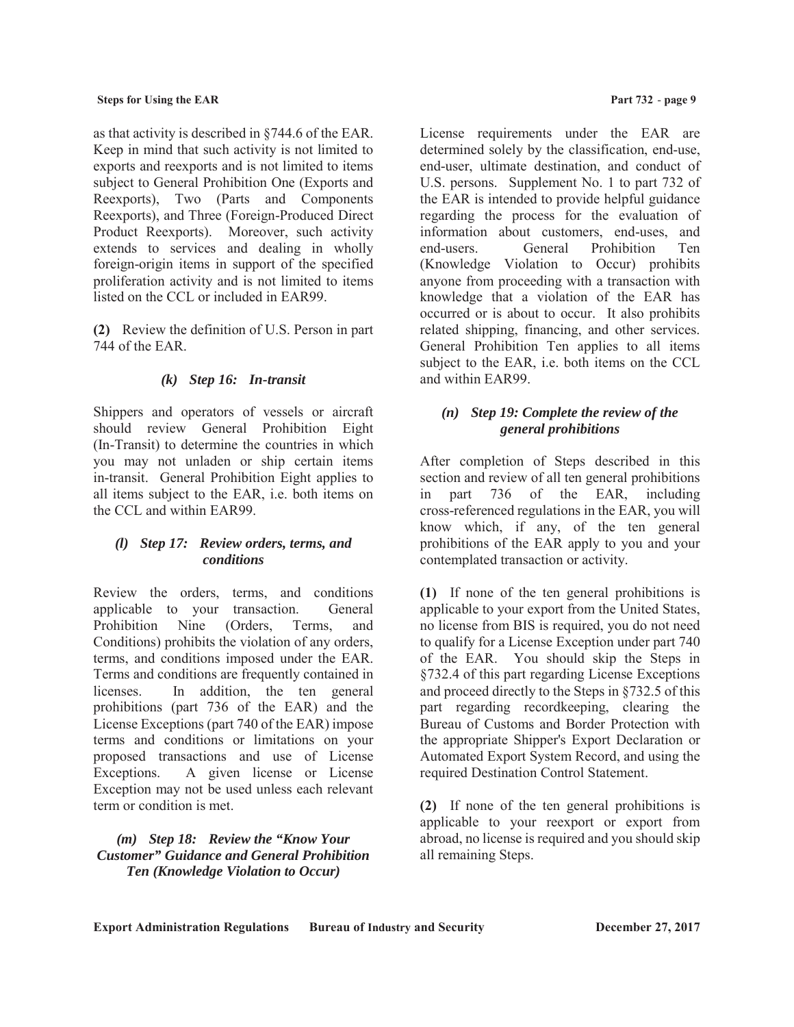as that activity is described in §744.6 of the EAR. Keep in mind that such activity is not limited to exports and reexports and is not limited to items subject to General Prohibition One (Exports and Reexports), Two (Parts and Components Reexports), and Three (Foreign-Produced Direct Product Reexports). Moreover, such activity extends to services and dealing in wholly foreign-origin items in support of the specified proliferation activity and is not limited to items listed on the CCL or included in EAR99.

**(2)** Review the definition of U.S. Person in part 744 of the EAR.

# *(k) Step 16: In-transit*

Shippers and operators of vessels or aircraft should review General Prohibition Eight (In-Transit) to determine the countries in which you may not unladen or ship certain items in-transit. General Prohibition Eight applies to all items subject to the EAR, i.e. both items on the CCL and within EAR99.

## *(l) Step 17: Review orders, terms, and conditions*

Review the orders, terms, and conditions applicable to your transaction. General Prohibition Nine (Orders, Terms, and Conditions) prohibits the violation of any orders, terms, and conditions imposed under the EAR. Terms and conditions are frequently contained in licenses. In addition, the ten general prohibitions (part 736 of the EAR) and the License Exceptions (part 740 of the EAR) impose terms and conditions or limitations on your proposed transactions and use of License Exceptions. A given license or License Exception may not be used unless each relevant term or condition is met.

## *(m) Step 18: Review the "Know Your Customer" Guidance and General Prohibition Ten (Knowledge Violation to Occur)*

License requirements under the EAR are determined solely by the classification, end-use, end-user, ultimate destination, and conduct of U.S. persons. Supplement No. 1 to part 732 of the EAR is intended to provide helpful guidance regarding the process for the evaluation of information about customers, end-uses, and end-users. General Prohibition Ten (Knowledge Violation to Occur) prohibits anyone from proceeding with a transaction with knowledge that a violation of the EAR has occurred or is about to occur. It also prohibits related shipping, financing, and other services. General Prohibition Ten applies to all items subject to the EAR, i.e. both items on the CCL and within EAR99.

# *(n) Step 19: Complete the review of the general prohibitions*

After completion of Steps described in this section and review of all ten general prohibitions in part 736 of the EAR, including cross-referenced regulations in the EAR, you will know which, if any, of the ten general prohibitions of the EAR apply to you and your contemplated transaction or activity.

**(1)** If none of the ten general prohibitions is applicable to your export from the United States, no license from BIS is required, you do not need to qualify for a License Exception under part 740 of the EAR. You should skip the Steps in §732.4 of this part regarding License Exceptions and proceed directly to the Steps in §732.5 of this part regarding recordkeeping, clearing the Bureau of Customs and Border Protection with the appropriate Shipper's Export Declaration or Automated Export System Record, and using the required Destination Control Statement.

**(2)** If none of the ten general prohibitions is applicable to your reexport or export from abroad, no license is required and you should skip all remaining Steps.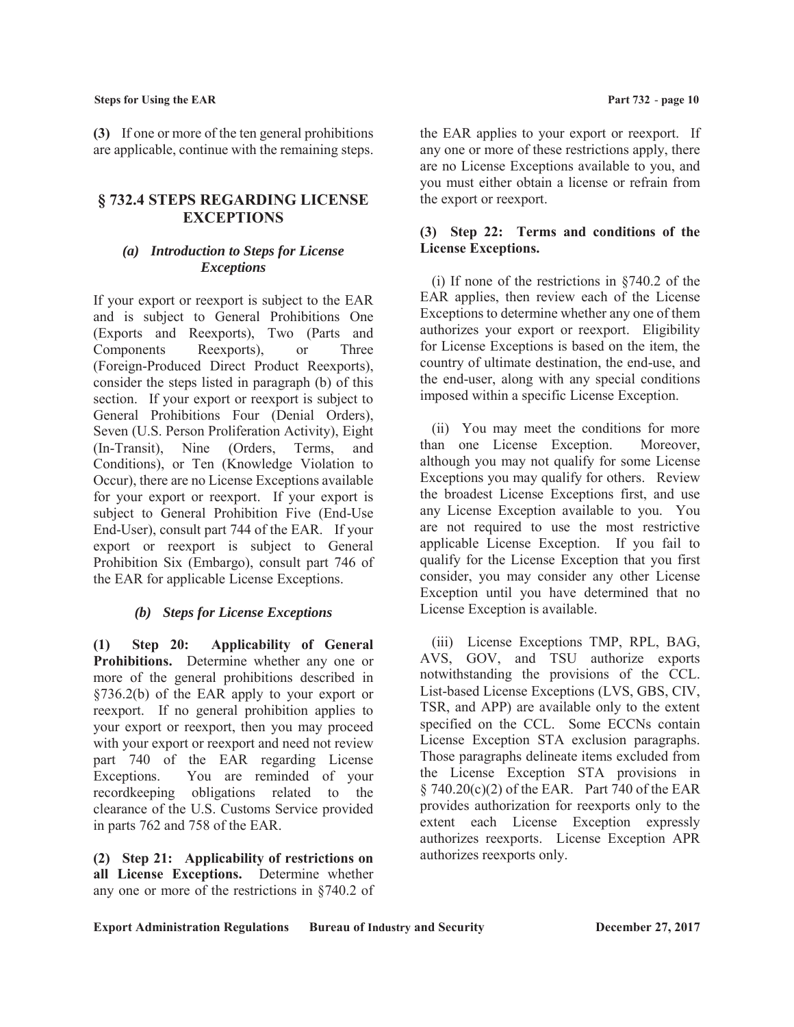**(3)** If one or more of the ten general prohibitions are applicable, continue with the remaining steps.

# **§ 732.4 STEPS REGARDING LICENSE EXCEPTIONS**

## *(a) Introduction to Steps for License Exceptions*

If your export or reexport is subject to the EAR and is subject to General Prohibitions One (Exports and Reexports), Two (Parts and Components Reexports), or Three (Foreign-Produced Direct Product Reexports), consider the steps listed in paragraph (b) of this section. If your export or reexport is subject to General Prohibitions Four (Denial Orders), Seven (U.S. Person Proliferation Activity), Eight (In-Transit), Nine (Orders, Terms, and Conditions), or Ten (Knowledge Violation to Occur), there are no License Exceptions available for your export or reexport. If your export is subject to General Prohibition Five (End-Use End-User), consult part 744 of the EAR. If your export or reexport is subject to General Prohibition Six (Embargo), consult part 746 of the EAR for applicable License Exceptions.

#### *(b) Steps for License Exceptions*

**(1) Step 20: Applicability of General Prohibitions.** Determine whether any one or more of the general prohibitions described in §736.2(b) of the EAR apply to your export or reexport. If no general prohibition applies to your export or reexport, then you may proceed with your export or reexport and need not review part 740 of the EAR regarding License Exceptions. You are reminded of your recordkeeping obligations related to the clearance of the U.S. Customs Service provided in parts 762 and 758 of the EAR.

**(2) Step 21: Applicability of restrictions on all License Exceptions.** Determine whether any one or more of the restrictions in §740.2 of the EAR applies to your export or reexport. If any one or more of these restrictions apply, there are no License Exceptions available to you, and you must either obtain a license or refrain from the export or reexport.

## **(3) Step 22: Terms and conditions of the License Exceptions.**

(i) If none of the restrictions in §740.2 of the EAR applies, then review each of the License Exceptions to determine whether any one of them authorizes your export or reexport. Eligibility for License Exceptions is based on the item, the country of ultimate destination, the end-use, and the end-user, along with any special conditions imposed within a specific License Exception.

(ii) You may meet the conditions for more than one License Exception. Moreover, although you may not qualify for some License Exceptions you may qualify for others. Review the broadest License Exceptions first, and use any License Exception available to you. You are not required to use the most restrictive applicable License Exception. If you fail to qualify for the License Exception that you first consider, you may consider any other License Exception until you have determined that no License Exception is available.

(iii) License Exceptions TMP, RPL, BAG, AVS, GOV, and TSU authorize exports notwithstanding the provisions of the CCL. List-based License Exceptions (LVS, GBS, CIV, TSR, and APP) are available only to the extent specified on the CCL. Some ECCNs contain License Exception STA exclusion paragraphs. Those paragraphs delineate items excluded from the License Exception STA provisions in  $§ 740.20(c)(2)$  of the EAR. Part 740 of the EAR provides authorization for reexports only to the extent each License Exception expressly authorizes reexports. License Exception APR authorizes reexports only.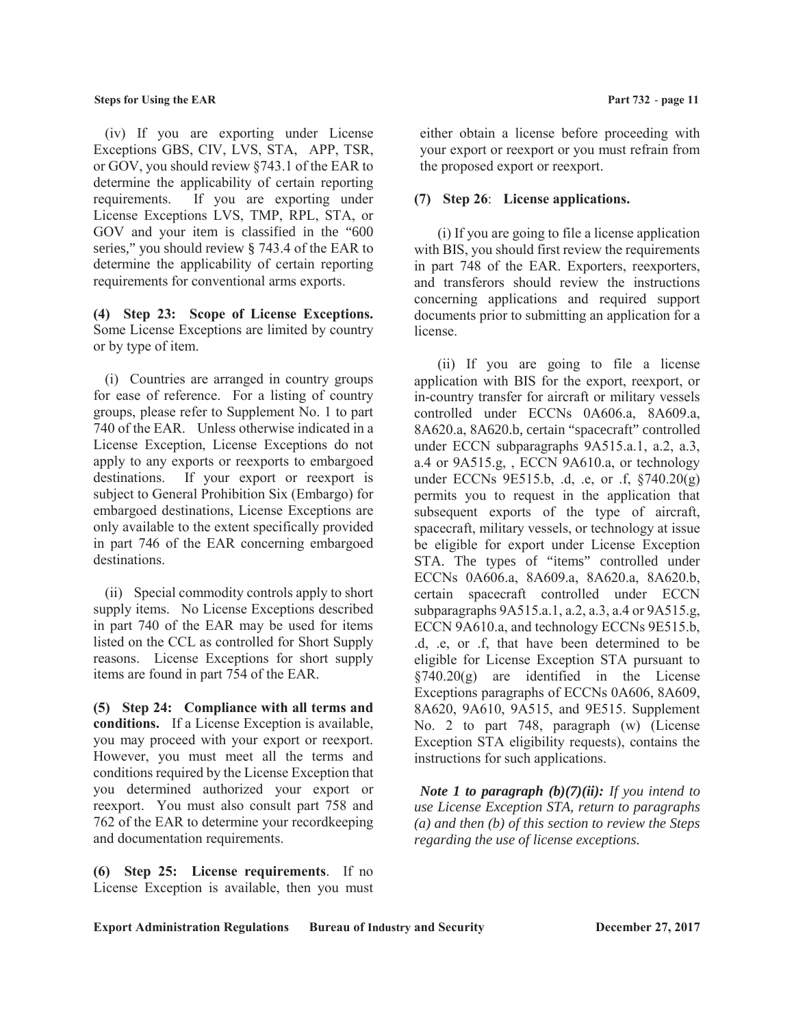(iv) If you are exporting under License Exceptions GBS, CIV, LVS, STA, APP, TSR, or GOV, you should review §743.1 of the EAR to determine the applicability of certain reporting requirements. If you are exporting under License Exceptions LVS, TMP, RPL, STA, or GOV and your item is classified in the "600 series," you should review § 743.4 of the EAR to determine the applicability of certain reporting requirements for conventional arms exports.

**(4) Step 23: Scope of License Exceptions.** Some License Exceptions are limited by country or by type of item.

(i) Countries are arranged in country groups for ease of reference. For a listing of country groups, please refer to Supplement No. 1 to part 740 of the EAR. Unless otherwise indicated in a License Exception, License Exceptions do not apply to any exports or reexports to embargoed destinations. If your export or reexport is subject to General Prohibition Six (Embargo) for embargoed destinations, License Exceptions are only available to the extent specifically provided in part 746 of the EAR concerning embargoed destinations.

(ii) Special commodity controls apply to short supply items. No License Exceptions described in part 740 of the EAR may be used for items listed on the CCL as controlled for Short Supply reasons. License Exceptions for short supply items are found in part 754 of the EAR.

**(5) Step 24: Compliance with all terms and conditions.** If a License Exception is available, you may proceed with your export or reexport. However, you must meet all the terms and conditions required by the License Exception that you determined authorized your export or reexport. You must also consult part 758 and 762 of the EAR to determine your recordkeeping and documentation requirements.

**(6) Step 25: License requirements**. If no License Exception is available, then you must

either obtain a license before proceeding with your export or reexport or you must refrain from the proposed export or reexport.

#### **(7) Step 26**: **License applications.**

(i) If you are going to file a license application with BIS, you should first review the requirements in part 748 of the EAR. Exporters, reexporters, and transferors should review the instructions concerning applications and required support documents prior to submitting an application for a license.

 (ii) If you are going to file a license application with BIS for the export, reexport, or in-country transfer for aircraft or military vessels controlled under ECCNs 0A606.a, 8A609.a, 8A620.a, 8A620.b, certain "spacecraft" controlled under ECCN subparagraphs 9A515.a.1, a.2, a.3, a.4 or 9A515.g, , ECCN 9A610.a, or technology under ECCNs  $9E515.b$ , .d, .e, or .f,  $8740.20(g)$ permits you to request in the application that subsequent exports of the type of aircraft, spacecraft, military vessels, or technology at issue be eligible for export under License Exception STA. The types of "items" controlled under ECCNs 0A606.a, 8A609.a, 8A620.a, 8A620.b, certain spacecraft controlled under ECCN subparagraphs 9A515.a.1, a.2, a.3, a.4 or 9A515.g, ECCN 9A610.a, and technology ECCNs 9E515.b, .d, .e, or .f, that have been determined to be eligible for License Exception STA pursuant to §740.20(g) are identified in the License Exceptions paragraphs of ECCNs 0A606, 8A609, 8A620, 9A610, 9A515, and 9E515. Supplement No. 2 to part 748, paragraph (w) (License Exception STA eligibility requests), contains the instructions for such applications.

 *Note 1 to paragraph (b)(7)(ii): If you intend to use License Exception STA, return to paragraphs (a) and then (b) of this section to review the Steps regarding the use of license exceptions.*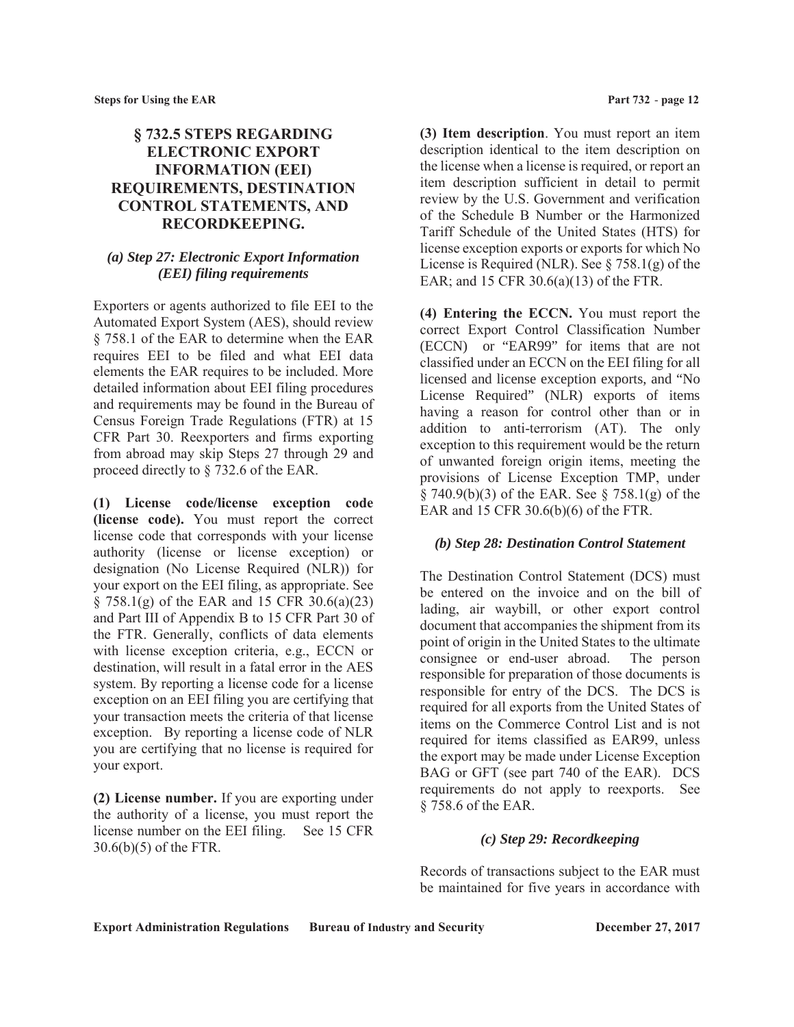# **§ 732.5 STEPS REGARDING ELECTRONIC EXPORT INFORMATION (EEI) REQUIREMENTS, DESTINATION CONTROL STATEMENTS, AND RECORDKEEPING.**

## *(a) Step 27: Electronic Export Information (EEI) filing requirements*

Exporters or agents authorized to file EEI to the Automated Export System (AES), should review § 758.1 of the EAR to determine when the EAR requires EEI to be filed and what EEI data elements the EAR requires to be included. More detailed information about EEI filing procedures and requirements may be found in the Bureau of Census Foreign Trade Regulations (FTR) at 15 CFR Part 30. Reexporters and firms exporting from abroad may skip Steps 27 through 29 and proceed directly to § 732.6 of the EAR.

**(1) License code/license exception code (license code).** You must report the correct license code that corresponds with your license authority (license or license exception) or designation (No License Required (NLR)) for your export on the EEI filing, as appropriate. See § 758.1(g) of the EAR and 15 CFR 30.6(a)(23) and Part III of Appendix B to 15 CFR Part 30 of the FTR. Generally, conflicts of data elements with license exception criteria, e.g., ECCN or destination, will result in a fatal error in the AES system. By reporting a license code for a license exception on an EEI filing you are certifying that your transaction meets the criteria of that license exception. By reporting a license code of NLR you are certifying that no license is required for your export.

**(2) License number.** If you are exporting under the authority of a license, you must report the license number on the EEI filing. See 15 CFR 30.6(b)(5) of the FTR.

**(3) Item description**. You must report an item description identical to the item description on the license when a license is required, or report an item description sufficient in detail to permit review by the U.S. Government and verification of the Schedule B Number or the Harmonized Tariff Schedule of the United States (HTS) for license exception exports or exports for which No License is Required (NLR). See  $\S 758.1(g)$  of the EAR; and 15 CFR 30.6(a)(13) of the FTR.

**(4) Entering the ECCN.** You must report the correct Export Control Classification Number (ECCN) or "EAR99" for items that are not classified under an ECCN on the EEI filing for all licensed and license exception exports, and "No License Required" (NLR) exports of items having a reason for control other than or in addition to anti-terrorism (AT). The only exception to this requirement would be the return of unwanted foreign origin items, meeting the provisions of License Exception TMP, under § 740.9(b)(3) of the EAR. See § 758.1(g) of the EAR and 15 CFR 30.6(b)(6) of the FTR.

## *(b) Step 28: Destination Control Statement*

The Destination Control Statement (DCS) must be entered on the invoice and on the bill of lading, air waybill, or other export control document that accompanies the shipment from its point of origin in the United States to the ultimate consignee or end-user abroad. The person responsible for preparation of those documents is responsible for entry of the DCS. The DCS is required for all exports from the United States of items on the Commerce Control List and is not required for items classified as EAR99, unless the export may be made under License Exception BAG or GFT (see part 740 of the EAR). DCS requirements do not apply to reexports. See § 758.6 of the EAR.

## *(c) Step 29: Recordkeeping*

Records of transactions subject to the EAR must be maintained for five years in accordance with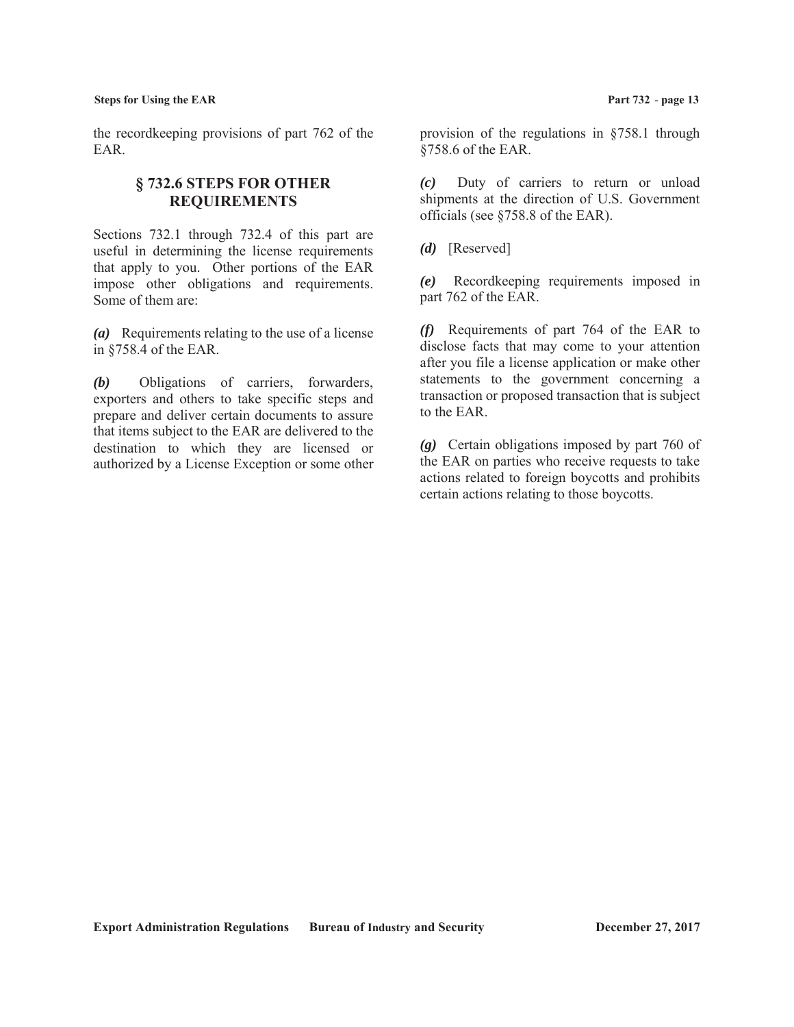the recordkeeping provisions of part 762 of the EAR.

# **§ 732.6 STEPS FOR OTHER REQUIREMENTS**

Sections 732.1 through 732.4 of this part are useful in determining the license requirements that apply to you. Other portions of the EAR impose other obligations and requirements. Some of them are:

*(a)* Requirements relating to the use of a license in §758.4 of the EAR.

*(b)* Obligations of carriers, forwarders, exporters and others to take specific steps and prepare and deliver certain documents to assure that items subject to the EAR are delivered to the destination to which they are licensed or authorized by a License Exception or some other provision of the regulations in §758.1 through §758.6 of the EAR.

*(c)* Duty of carriers to return or unload shipments at the direction of U.S. Government officials (see §758.8 of the EAR).

*(d)* [Reserved]

*(e)* Recordkeeping requirements imposed in part 762 of the EAR.

*(f)* Requirements of part 764 of the EAR to disclose facts that may come to your attention after you file a license application or make other statements to the government concerning a transaction or proposed transaction that is subject to the EAR.

*(g)* Certain obligations imposed by part 760 of the EAR on parties who receive requests to take actions related to foreign boycotts and prohibits certain actions relating to those boycotts.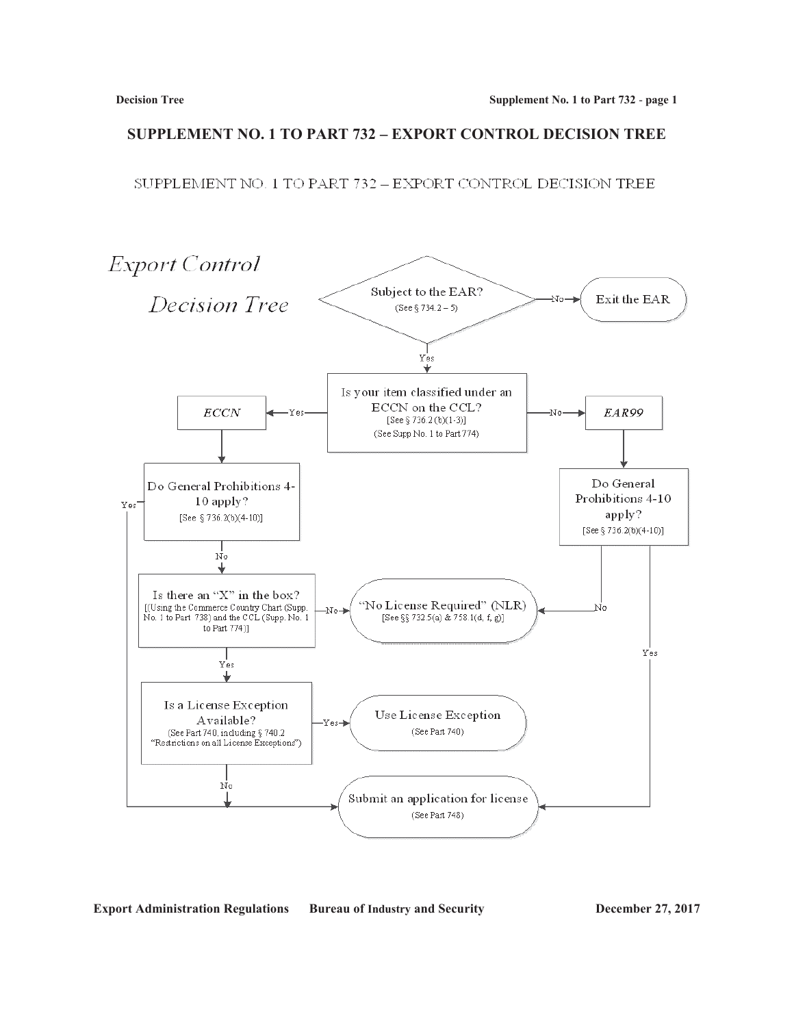# **SUPPLEMENT NO. 1 TO PART 732 – EXPORT CONTROL DECISION TREE**

SUPPLEMENT NO. 1 TO PART 732 - EXPORT CONTROL DECISION TREE

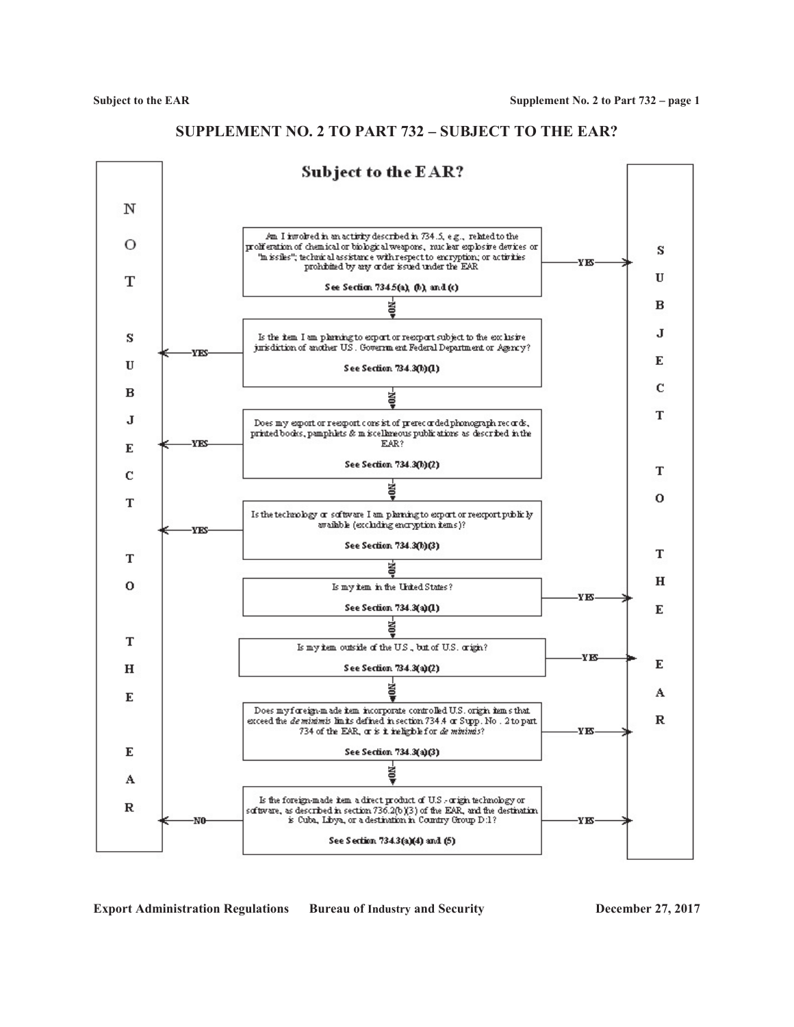

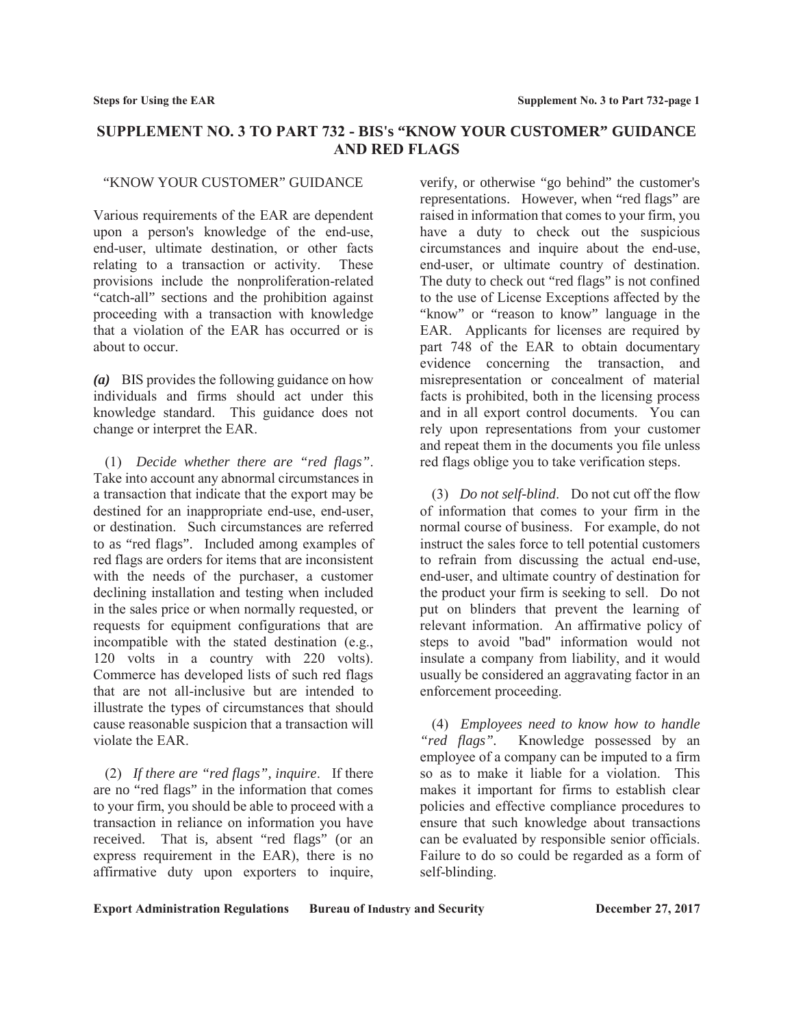# **SUPPLEMENT NO. 3 TO PART 732 - BIS's "KNOW YOUR CUSTOMER" GUIDANCE AND RED FLAGS**

#### "KNOW YOUR CUSTOMER" GUIDANCE

Various requirements of the EAR are dependent upon a person's knowledge of the end-use, end-user, ultimate destination, or other facts relating to a transaction or activity. These provisions include the nonproliferation-related "catch-all" sections and the prohibition against proceeding with a transaction with knowledge that a violation of the EAR has occurred or is about to occur.

*(a)* BIS provides the following guidance on how individuals and firms should act under this knowledge standard. This guidance does not change or interpret the EAR.

(1) *Decide whether there are "red flags"*. Take into account any abnormal circumstances in a transaction that indicate that the export may be destined for an inappropriate end-use, end-user, or destination. Such circumstances are referred to as "red flags". Included among examples of red flags are orders for items that are inconsistent with the needs of the purchaser, a customer declining installation and testing when included in the sales price or when normally requested, or requests for equipment configurations that are incompatible with the stated destination (e.g., 120 volts in a country with 220 volts). Commerce has developed lists of such red flags that are not all-inclusive but are intended to illustrate the types of circumstances that should cause reasonable suspicion that a transaction will violate the EAR.

(2) *If there are "red flags", inquire*. If there are no "red flags" in the information that comes to your firm, you should be able to proceed with a transaction in reliance on information you have received. That is, absent "red flags" (or an express requirement in the EAR), there is no affirmative duty upon exporters to inquire,

verify, or otherwise "go behind" the customer's representations. However, when "red flags" are raised in information that comes to your firm, you have a duty to check out the suspicious circumstances and inquire about the end-use, end-user, or ultimate country of destination. The duty to check out "red flags" is not confined to the use of License Exceptions affected by the "know" or "reason to know" language in the EAR. Applicants for licenses are required by part 748 of the EAR to obtain documentary evidence concerning the transaction, and misrepresentation or concealment of material facts is prohibited, both in the licensing process and in all export control documents. You can rely upon representations from your customer and repeat them in the documents you file unless red flags oblige you to take verification steps.

(3) *Do not self-blind*. Do not cut off the flow of information that comes to your firm in the normal course of business. For example, do not instruct the sales force to tell potential customers to refrain from discussing the actual end-use, end-user, and ultimate country of destination for the product your firm is seeking to sell. Do not put on blinders that prevent the learning of relevant information. An affirmative policy of steps to avoid "bad" information would not insulate a company from liability, and it would usually be considered an aggravating factor in an enforcement proceeding.

(4) *Employees need to know how to handle "red flags".* Knowledge possessed by an employee of a company can be imputed to a firm so as to make it liable for a violation. This makes it important for firms to establish clear policies and effective compliance procedures to ensure that such knowledge about transactions can be evaluated by responsible senior officials. Failure to do so could be regarded as a form of self-blinding.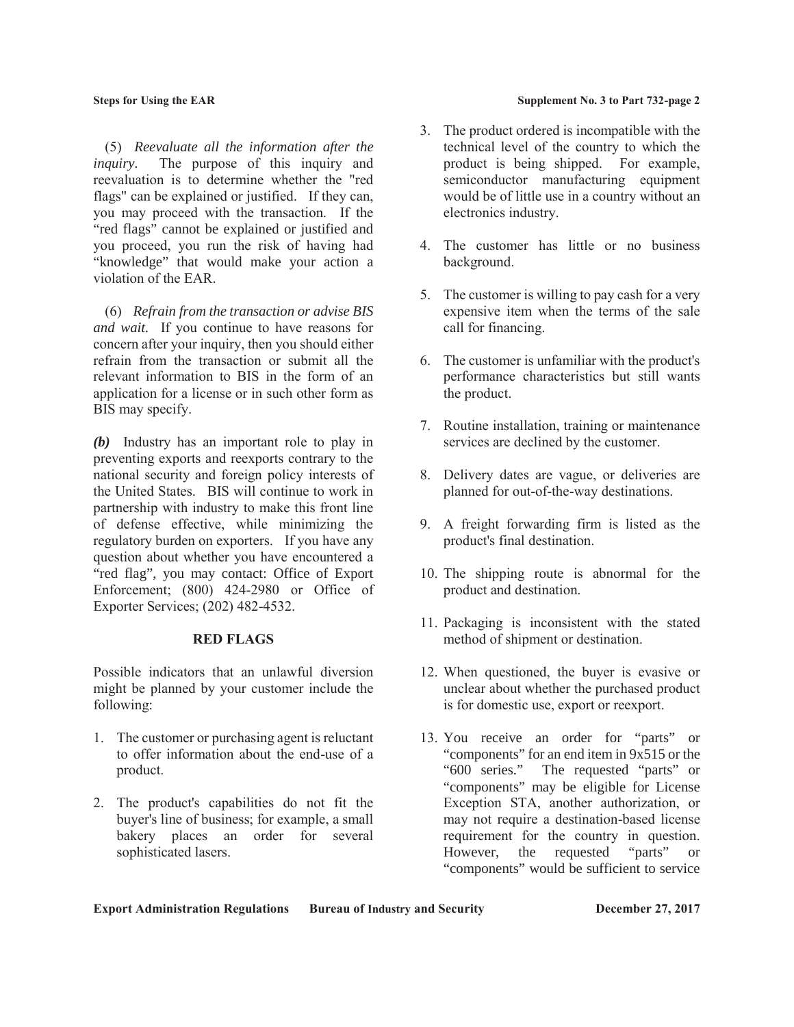(5) *Reevaluate all the information after the inquiry.* The purpose of this inquiry and reevaluation is to determine whether the "red flags" can be explained or justified. If they can, you may proceed with the transaction. If the "red flags" cannot be explained or justified and you proceed, you run the risk of having had "knowledge" that would make your action a violation of the EAR.

(6) *Refrain from the transaction or advise BIS and wait.* If you continue to have reasons for concern after your inquiry, then you should either refrain from the transaction or submit all the relevant information to BIS in the form of an application for a license or in such other form as BIS may specify.

*(b)* Industry has an important role to play in preventing exports and reexports contrary to the national security and foreign policy interests of the United States. BIS will continue to work in partnership with industry to make this front line of defense effective, while minimizing the regulatory burden on exporters. If you have any question about whether you have encountered a "red flag", you may contact: Office of Export Enforcement; (800) 424-2980 or Office of Exporter Services; (202) 482-4532.

#### **RED FLAGS**

Possible indicators that an unlawful diversion might be planned by your customer include the following:

- 1. The customer or purchasing agent is reluctant to offer information about the end-use of a product.
- 2. The product's capabilities do not fit the buyer's line of business; for example, a small bakery places an order for several sophisticated lasers.

#### **Steps for Using the EAR Supplement No. 3 to Part 732-page 2**

- 3. The product ordered is incompatible with the technical level of the country to which the product is being shipped. For example, semiconductor manufacturing equipment would be of little use in a country without an electronics industry.
- 4. The customer has little or no business background.
- 5. The customer is willing to pay cash for a very expensive item when the terms of the sale call for financing.
- 6. The customer is unfamiliar with the product's performance characteristics but still wants the product.
- 7. Routine installation, training or maintenance services are declined by the customer.
- 8. Delivery dates are vague, or deliveries are planned for out-of-the-way destinations.
- 9. A freight forwarding firm is listed as the product's final destination.
- 10. The shipping route is abnormal for the product and destination.
- 11. Packaging is inconsistent with the stated method of shipment or destination.
- 12. When questioned, the buyer is evasive or unclear about whether the purchased product is for domestic use, export or reexport.
- 13. You receive an order for "parts" or "components" for an end item in 9x515 or the "600 series." The requested "parts" or "components" may be eligible for License Exception STA, another authorization, or may not require a destination-based license requirement for the country in question. However, the requested "parts" or "components" would be sufficient to service